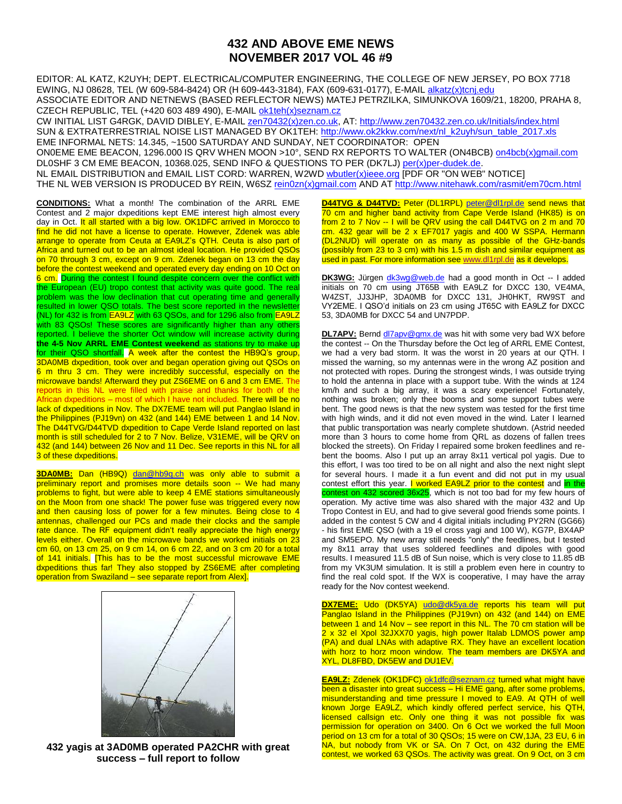## **432 AND ABOVE EME NEWS NOVEMBER 2017 VOL 46 #9**

EDITOR: AL KATZ, K2UYH; DEPT. ELECTRICAL/COMPUTER ENGINEERING, THE COLLEGE OF NEW JERSEY, PO BOX 7718 EWING, NJ 08628, TEL (W 609-584-8424) OR (H 609-443-3184), FAX (609-631-0177), E-MAIL [alkatz\(x\)tcnj.edu](mailto:alkatz@tcnj.edu) ASSOCIATE EDITOR AND NETNEWS (BASED REFLECTOR NEWS) MATEJ PETRZILKA, SIMUNKOVA 1609/21, 18200, PRAHA 8, CZECH REPUBLIC, TEL (+420 603 489 490), E-MAIL [ok1teh\(x\)seznam.cz](mailto:ok1teh@seznam.cz)

CW INITIAL LIST G4RGK, DAVID DIBLEY, E-MAIL [zen70432\(x\)zen.co.uk,](mailto:zen70432@zen.co.uk) AT:<http://www.zen70432.zen.co.uk/Initials/index.html> SUN & EXTRATERRESTRIAL NOISE LIST MANAGED BY OK1TEH: [http://www.ok2kkw.com/next/nl\\_k2uyh/sun\\_table\\_2017.xls](http://www.ok2kkw.com/next/nl_k2uyh/sun_table_2017.xls) EME INFORMAL NETS: 14.345, ~1500 SATURDAY AND SUNDAY, NET COORDINATOR: OPEN ON0EME EME BEACON, 1296.000 IS QRV WHEN MOON >10°, SEND RX REPORTS TO WALTER (ON4BCB) [on4bcb\(x\)gmail.com](mailto:on4bcb@gmail.com)  DL0SHF 3 CM EME BEACON, 10368.025, SEND INFO & QUESTIONS TO PER (DK7LJ[\) per\(x\)per-dudek.de.](mailto:per@per-dudek.de) NL EMAIL DISTRIBUTION and EMAIL LIST CORD: WARREN, W2WD woutler(x)ieee.org [PDF OR "ON WEB" NOTICE] THE NL WEB VERSION IS PRODUCED BY REIN, W6SZ [rein0zn\(x\)gmail.com](mailto:rein0zn@gmail.com) AND AT<http://www.nitehawk.com/rasmit/em70cm.html>

**CONDITIONS:** What a month! The combination of the ARRL EME Contest and 2 major dxpeditions kept EME interest high almost every day in Oct. It all started with a big low. OK1DFC arrived in Morocco to find he did not have a license to operate. However, Zdenek was able arrange to operate from Ceuta at EA9LZ's QTH. Ceuta is also part of Africa and turned out to be an almost ideal location. He provided QSOs on 70 through 3 cm, except on 9 cm. Zdenek began on 13 cm the day before the contest weekend and operated every day ending on 10 Oct on 6 cm. During the contest I found despite concern over the conflict with the European (EU) tropo contest that activity was quite good. The real problem was the low declination that cut operating time and generally resulted in lower QSO totals. The best score reported in the newsletter (NL) for 432 is from EA9LZ with 63 QSOs, and for 1296 also from EA9LZ with 83 QSOs! These scores are significantly higher than any others reported. I believe the shorter Oct window will increase activity during **the 4-5 Nov ARRL EME Contest weekend** as stations try to make up for their QSO shortfall. A week after the contest the HB9Q's group, 3DA0MB dxpedition, took over and began operation giving out QSOs on 6 m thru 3 cm. They were incredibly successful, especially on the microwave bands! Afterward they put ZS6EME on 6 and 3 cm EME. The reports in this NL were filled with praise and thanks for both of the African dxpeditions – most of which I have not included. There will be no lack of dxpeditions in Nov. The DX7EME team will put Panglao Island in the Philippines (PJ19vn) on 432 (and 144) EME between 1 and 14 Nov. The D44TVG/D44TVD dxpedition to Cape Verde Island reported on last month is still scheduled for 2 to 7 Nov. Belize, V31EME, will be QRV on 432 (and 144) between 26 Nov and 11 Dec. See reports in this NL for all 3 of these dxpeditions.

**3DA0MB:** Dan (HB9Q) [dan@hb9q.ch](mailto:dan@hb9q.ch) was only able to submit a preliminary report and promises more details soon -- We had many problems to fight, but were able to keep 4 EME stations simultaneously on the Moon from one shack! The power fuse was triggered every now and then causing loss of power for a few minutes. Being close to 4 antennas, challenged our PCs and made their clocks and the sample rate dance. The RF equipment didn't really appreciate the high energy levels either. Overall on the microwave bands we worked initials on 23 cm 60, on 13 cm 25, on 9 cm 14, on 6 cm 22, and on 3 cm 20 for a total of 141 initials. [This has to be the most successful microwave EME dxpeditions thus far! They also stopped by ZS6EME after completing operation from Swaziland – see separate report from Alex].



**432 yagis at 3AD0MB operated PA2CHR with great success – full report to follow**

**D44TVG & D44TVD:** Peter (DL1RPL) [peter@dl1rpl.de](mailto:peter@dl1rpl.de) send news that 70 cm and higher band activity from Cape Verde Island (HK85) is on from 2 to 7 Nov -- I will be QRV using the call D44TVG on 2 m and 70 cm. 432 gear will be 2 x EF7017 yagis and 400 W SSPA. Hermann (DL2NUD) will operate on as many as possible of the GHz-bands (possibly from 23 to 3 cm) with his 1.5 m dish and similar equipment as used in past. For more information see [www.dl1rpl.de](http://www.dl1rpl.de/) as it develops.

DK3WG: Jürgen [dk3wg@web.de](mailto:dk3wg@web.de) had a good month in Oct -- I added initials on 70 cm using JT65B with EA9LZ for DXCC 130, VE4MA, W4ZST, JJ3JHP, 3DA0MB for DXCC 131, JH0HKT, RW9ST and VY2EME. I QSO'd initials on 23 cm using JT65C with EA9LZ for DXCC 53, 3DA0MB for DXCC 54 and UN7PDP.

**DL7APV:** Bern[d dl7apv@gmx.de](mailto:dl7apv@gmx.de) was hit with some very bad WX before the contest -- On the Thursday before the Oct leg of ARRL EME Contest, we had a very bad storm. It was the worst in 20 years at our QTH. I missed the warning, so my antennas were in the wrong AZ position and not protected with ropes. During the strongest winds, I was outside trying to hold the antenna in place with a support tube. With the winds at 124 km/h and such a big array, it was a scary experience! Fortunately, nothing was broken; only thee booms and some support tubes were bent. The good news is that the new system was tested for the first time with high winds, and it did not even moved in the wind. Later I learned that public transportation was nearly complete shutdown. (Astrid needed more than 3 hours to come home from QRL as dozens of fallen trees blocked the streets). On Friday I repaired some broken feedlines and rebent the booms. Also I put up an array 8x11 vertical pol yagis. Due to this effort, I was too tired to be on all night and also the next night slept for several hours. I made it a fun event and did not put in my usual contest effort this year. I worked EA9LZ prior to the contest and in the contest on 432 scored 36x25, which is not too bad for my few hours of operation. My active time was also shared with the major 432 and Up Tropo Contest in EU, and had to give several good friends some points. I added in the contest 5 CW and 4 digital initials including PY2RN (GG66) - his first EME QSO (with a 19 el cross yagi and 100 W), KG7P, BX4AP and SM5EPO. My new array still needs "only" the feedlines, but I tested my 8x11 array that uses soldered feedlines and dipoles with good results. I measured 11.5 dB of Sun noise, which is very close to 11.85 dB from my VK3UM simulation. It is still a problem even here in country to find the real cold spot. If the WX is cooperative, I may have the array ready for the Nov contest weekend.

**DX7EME:** Udo (DK5YA) [udo@dk5ya.de](mailto:udo@dk5ya.de) reports his team will put Panglao Island in the Philippines (PJ19vn) on 432 (and 144) on EME between 1 and 14 Nov - see report in this NL. The 70 cm station will be 2 x 32 el Xpol 32JXX70 yagis, high power Italab LDMOS power amp (PA) and dual LNAs with adaptive RX. They have an excellent location with horz to horz moon window. The team members are DK5YA and XYL, DL8FBD, DK5EW and DU1EV.

**EA9LZ:** Zdenek (OK1DFC) [ok1dfc@seznam.cz](mailto:ok1dfc@seznam.cz) turned what might have been a disaster into great success – Hi EME gang, after some problems, misunderstanding and time pressure I moved to EA9. At QTH of well known Jorge EA9LZ, which kindly offered perfect service, his QTH, licensed callsign etc. Only one thing it was not possible fix was permission for operation on 3400. On 6 Oct we worked the full Moon period on 13 cm for a total of 30 QSOs; 15 were on CW,1JA, 23 EU, 6 in NA, but nobody from VK or SA. On 7 Oct, on 432 during the EME contest, we worked 63 QSOs. The activity was great. On 9 Oct, on 3 cm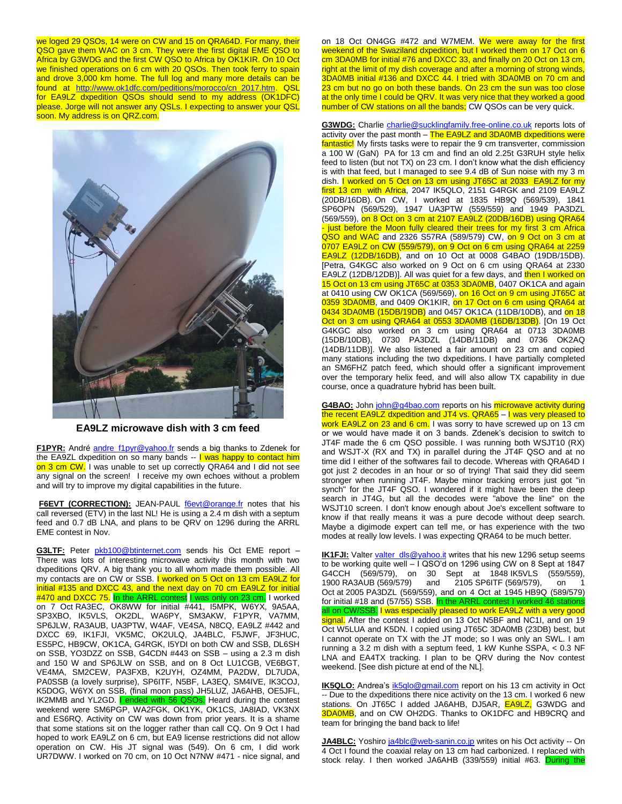we loged 29 QSOs, 14 were on CW and 15 on QRA64D. For many, their QSO gave them WAC on 3 cm. They were the first digital EME QSO to Africa by G3WDG and the first CW QSO to Africa by OK1KIR. On 10 Oct we finished operations on 6 cm with 20 QSOs. Then took ferry to spain and drove 3,000 km home. The full log and many more details can be found at [http://www.ok1dfc.com/peditions/morocco/cn\\_2017.htm.](http://www.ok1dfc.com/peditions/morocco/cn_2017.htm) QSL for EA9LZ dxpedition QSOs should send to my address (OK1DFC) please. Jorge will not answer any QSLs. I expecting to answer your QSL soon. My address is on QRZ.com.



**EA9LZ microwave dish with 3 cm feed**

**F1PYR:** André [andre\\_f1pyr@yahoo.fr](mailto:andre_f1pyr@yahoo.fr) sends a big thanks to Zdenek for the EA9ZL dxpedition on so many bands -- I was happy to contact him on 3 cm CW. I was unable to set up correctly QRA64 and I did not see any signal on the screen! I receive my own echoes without a problem and will try to improve my digital capabilities in the future.

**F6EVT (CORRECTION):** JEAN-PAUL **f**6evt@orange.fr notes that his call reversed (ETV) in the last NL! He is using a 2.4 m dish with a septum feed and 0.7 dB LNA, and plans to be QRV on 1296 during the ARRL EME contest in Nov.

**G3LTF:** Peter [pkb100@btinternet.com](mailto:pkb100@btinternet.com) sends his Oct EME report – There was lots of interesting microwave activity this month with two dxpeditions QRV. A big thank you to all whom made them possible. All my contacts are on CW or SSB. I worked on 5 Oct on 13 cm EA9LZ for initial #135 and DXCC 43, and the next day on 70 cm EA9LZ for initial #470 and DXCC 75. In the ARRL contest I was only on 23 cm. I worked on 7 Oct RA3EC, OK8WW for initial #441, I5MPK, W6YX, 9A5AA, SP3XBO, IK5VLS, OK2DL, WA6PY, SM3AKW, F1PYR, VA7MM, SP6JLW, RA3AUB, UA3PTW, W4AF, VE4SA, N8CQ, EA9LZ #442 and DXCC 69, IK1FJI, VK5MC, OK2ULQ, JA4BLC, F5JWF, JF3HUC, ES5PC, HB9CW, OK1CA, G4RGK, I5YDI on both CW and SSB, DL6SH on SSB, YO3DZZ on SSB, G4CDN #443 on SSB – using a 2.3 m dish and 150 W and SP6JLW on SSB, and on 8 Oct LU1CGB, VE6BGT, VE4MA, SM2CEW, PA3FXB, K2UYH, OZ4MM, PA2DW, DL7UDA, PA0SSB (a lovely surprise), SP6ITF, N5BF, LA3EQ, SM4IVE, IK3COJ, K5DOG, W6YX on SSB, (final moon pass) JH5LUZ, JA6AHB, OE5JFL, IK2MMB and YL2GD. **I ended with 56 QSOs.** Heard during the contest weekend were SM6PGP, WA2FGK, OK1YK, OK1CS, JA8IAD, VK3NX and ES6RQ. Activity on CW was down from prior years. It is a shame that some stations sit on the logger rather than call CQ. On 9 Oct I had hoped to work EA9LZ on 6 cm, but EA9 license restrictions did not allow operation on CW. His JT signal was (549). On 6 cm, I did work UR7DWW. I worked on 70 cm, on 10 Oct N7NW #471 - nice signal, and

on 18 Oct ON4GG #472 and W7MEM. We were away for the first weekend of the Swaziland dxpedition, but I worked them on 17 Oct on 6 cm 3DA0MB for initial #76 and DXCC 33, and finally on 20 Oct on 13 cm, right at the limit of my dish coverage and after a morning of strong winds, 3DA0MB initial #136 and DXCC 44. I tried with 3DA0MB on 70 cm and 23 cm but no go on both these bands. On 23 cm the sun was too close at the only time I could be QRV. It was very nice that they worked a good number of CW stations on all the bands; CW QSOs can be very quick.

**G3WDG:** Charli[e charlie@sucklingfamily.free-online.co.uk](mailto:charlie@sucklingfamily.free-online.co.uk) reports lots of activity over the past month – The EA9LZ and 3DA0MB dxpeditions were fantastic! My firsts tasks were to repair the 9 cm transverter, commission a 100 W (GaN) PA for 13 cm and find an old 2.25t G3RUH style helix feed to listen (but not TX) on 23 cm. I don't know what the dish efficiency is with that feed, but I managed to see 9.4 dB of Sun noise with my 3 m dish. I worked on 5 Oct on 13 cm using JT65C at 2033 EA9LZ for my first 13 cm with Africa, 2047 IK5QLO, 2151 G4RGK and 2109 EA9LZ (20DB/16DB). On CW, I worked at 1835 HB9Q (569/539), 1841 SP6OPN (569/529), 1947 UA3PTW (559/559) and 1949 PA3DZL (569/559), on 8 Oct on 3 cm at 2107 EA9LZ (20DB/16DB) using QRA64 - just before the Moon fully cleared their trees for my first 3 cm Africa QSO and WAC and 2326 S57RA (589/579) CW, on 9 Oct on 3 cm at 0707 EA9LZ on CW (559/579), on 9 Oct on 6 cm using QRA64 at 2259 EA9LZ (12DB/16DB), and on 10 Oct at 0008 G4BAO (19DB/15DB). [Petra, G4KGC also worked on 9 Oct on 6 cm using QRA64 at 2330 EA9LZ (12DB/12DB)]. All was quiet for a few days, and then I worked on 15 Oct on 13 cm using JT65C at 0353 3DA0MB, 0407 OK1CA and again at 0410 using CW OK1CA (569/569), on 16 Oct on 9 cm using JT65C at 0359 3DA0MB, and 0409 OK1KIR, on 17 Oct on 6 cm using QRA64 at 0434 3DA0MB (15DB/19DB) and 0457 OK1CA (11DB/10DB), and on 18 Oct on 3 cm using QRA64 at 0553 3DA0MB (16DB/13DB). [On 19 Oct G4KGC also worked on 3 cm using QRA64 at 0713 3DA0MB (15DB/10DB), 0730 PA3DZL (14DB/11DB) and 0736 OK2AQ (14DB/11DB)]. We also listened a fair amount on 23 cm and copied many stations including the two dxpeditions. I have partially completed an SM6FHZ patch feed, which should offer a significant improvement over the temporary helix feed, and will also allow TX capability in due course, once a quadrature hybrid has been built.

**G4BAO:** John [john@g4bao.com](mailto:john@g4bao.com) reports on his microwave activity during the recent EA9LZ dxpedition and JT4 vs. QRA65 – I was very pleased to work EA9LZ on 23 and 6 cm. I was sorry to have screwed up on 13 cm or we would have made it on 3 bands. Zdenek's decision to switch to JT4F made the 6 cm QSO possible. I was running both WSJT10 (RX) and WSJT-X (RX and TX) in parallel during the JT4F QSO and at no time did I either of the softwares fail to decode. Whereas with QRA64D I got just 2 decodes in an hour or so of trying! That said they did seem stronger when running JT4F. Maybe minor tracking errors just got "in synch" for the JT4F QSO. I wondered if it might have been the deep search in JT4G, but all the decodes were "above the line" on the WSJT10 screen. I don't know enough about Joe's excellent software to know if that really means it was a pure decode without deep search. Maybe a digimode expert can tell me, or has experience with the two modes at really low levels. I was expecting QRA64 to be much better.

**IK1FJI:** Valter valter dls@yahoo.it writes that his new 1296 setup seems to be working quite well – I QSO'd on 1296 using CW on 8 Sept at 1847 G4CCH (569/579), on 30 Sept at 1848 IK5VLS (559/559),<br>1900 RA3AUB (569/579) and 2105 SP6ITF (569/579), on 1 1900 RA3AUB (569/579) and 2105 SP6ITF (569/579), on 1 Oct at 2005 PA3DZL (569/559), and on 4 Oct at 1945 HB9Q (589/579) for initial #18 and (57/55) SSB. In the ARRL contest I worked 46 stations all on CW/SSB. I was especially pleased to work EA9LZ with a very good signal. After the contest I added on 13 Oct N5BF and NC1I, and on 19 Oct W5LUA and K5DN. I copied using JT65C 3DA0MB (23DB) best, but I cannot operate on TX with the JT mode; so I was only an SWL. I am running a 3.2 m dish with a septum feed, 1 kW Kunhe SSPA, < 0.3 NF LNA and EA4TX tracking. I plan to be QRV during the Nov contest weekend. [See dish picture at end of the NL].

**IK5QLO:** Andrea's *ik5qlo@gmail.com* report on his 13 cm activity in Oct -- Due to the dxpeditions there nice activity on the 13 cm. I worked 6 new stations. On JT65C I added JA6AHB, DJ5AR, **EA9LZ**, G3WDG and 3DA0MB, and on CW OH2DG. Thanks to OK1DFC and HB9CRQ and team for bringing the band back to life!

**JA4BLC:** Yoshir[o ja4blc@web-sanin.co.jp](mailto:ja4blc@web-sanin.co.jp) writes on his Oct activity -- On 4 Oct I found the coaxial relay on 13 cm had carbonized. I replaced with stock relay. I then worked JA6AHB (339/559) initial #63. During the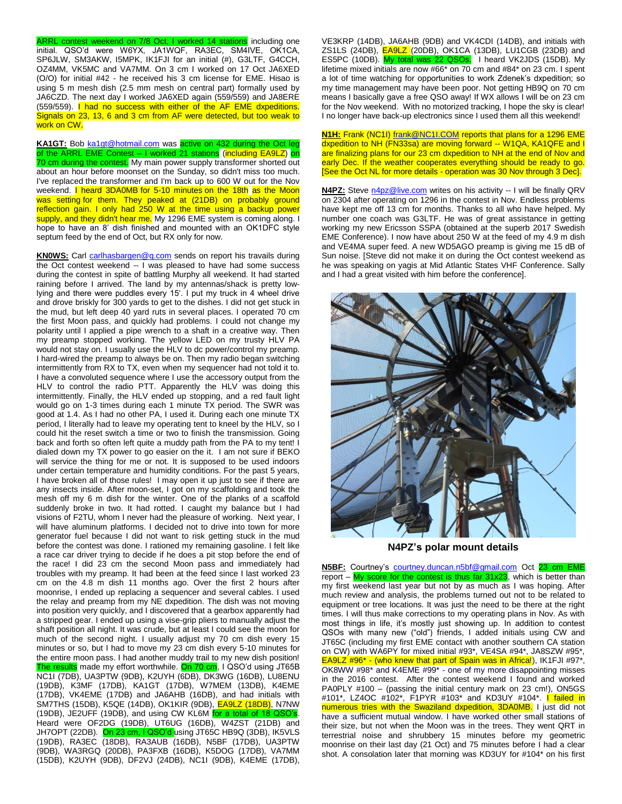ARRL contest weekend on 7/8 Oct, I worked 14 stations including one initial. QSO'd were W6YX, JA1WQF, RA3EC, SM4IVE, OK1CA, SP6JLW, SM3AKW, I5MPK, IK1FJI for an initial (#), G3LTF, G4CCH, OZ4MM, VK5MC and VA7MM. On 3 cm I worked on 17 Oct JA6XED (O/O) for initial #42 - he received his 3 cm license for EME. Hisao is using 5 m mesh dish (2.5 mm mesh on central part) formally used by JA6CZD. The next day I worked JA6XED again (559/559) and JA8ERE (559/559). I had no success with either of the AF EME dxpeditions. Signals on 23, 13, 6 and 3 cm from AF were detected, but too weak to work on CW.

KA1GT: Bob [ka1gt@hotmail.com](mailto:ka1gt@hotmail.com) was active on 432 during the Oct leg of the ARRL EME Contest – I worked 21 stations (including EA9LZ) on 70 cm during the contest. My main power supply transformer shorted out about an hour before moonset on the Sunday, so didn't miss too much. I've replaced the transformer and I'm back up to 600 W out for the Nov weekend. I heard 3DA0MB for 5-10 minutes on the 18th as the Moon was setting for them. They peaked at (21DB) on probably ground reflection gain. I only had 250 W at the time using a backup power supply, and they didn't hear me. My 1296 EME system is coming along. I hope to have an 8' dish finished and mounted with an OK1DFC style septum feed by the end of Oct, but RX only for now.

KNOWS: Carl [carlhasbargen@q.com](mailto:carlhasbargen@q.com) sends on report his travails during the Oct contest weekend -- I was pleased to have had some success during the contest in spite of battling Murphy all weekend. It had started raining before I arrived. The land by my antennas/shack is pretty lowlying and there were puddles every 15'. I put my truck in 4 wheel drive and drove briskly for 300 yards to get to the dishes. I did not get stuck in the mud, but left deep 40 yard ruts in several places. I operated 70 cm the first Moon pass, and quickly had problems. I could not change my polarity until I applied a pipe wrench to a shaft in a creative way. Then my preamp stopped working. The yellow LED on my trusty HLV PA would not stay on. I usually use the HLV to dc power/control my preamp. I hard-wired the preamp to always be on. Then my radio began switching intermittently from RX to TX, even when my sequencer had not told it to. I have a convoluted sequence where I use the accessory output from the HLV to control the radio PTT. Apparently the HLV was doing this intermittently. Finally, the HLV ended up stopping, and a red fault light would go on 1-3 times during each 1 minute TX period. The SWR was good at 1.4. As I had no other PA, I used it. During each one minute TX period, I literally had to leave my operating tent to kneel by the HLV, so I could hit the reset switch a time or two to finish the transmission. Going back and forth so often left quite a muddy path from the PA to my tent! I dialed down my TX power to go easier on the it. I am not sure if BEKO will service the thing for me or not. It is supposed to be used indoors under certain temperature and humidity conditions. For the past 5 years, I have broken all of those rules! I may open it up just to see if there are any insects inside. After moon-set, I got on my scaffolding and took the mesh off my 6 m dish for the winter. One of the planks of a scaffold suddenly broke in two. It had rotted. I caught my balance but I had visions of F2TU, whom I never had the pleasure of working. Next year, I will have aluminum platforms. I decided not to drive into town for more generator fuel because I did not want to risk getting stuck in the mud before the contest was done. I rationed my remaining gasoline. I felt like a race car driver trying to decide if he does a pit stop before the end of the race! I did 23 cm the second Moon pass and immediately had troubles with my preamp. It had been at the feed since I last worked 23 cm on the 4.8 m dish 11 months ago. Over the first 2 hours after moonrise, I ended up replacing a sequencer and several cables. I used the relay and preamp from my NE dxpedition. The dish was not moving into position very quickly, and I discovered that a gearbox apparently had a stripped gear. I ended up using a vise-grip pliers to manually adjust the shaft position all night. It was crude, but at least I could see the moon for much of the second night. I usually adjust my 70 cm dish every 15 minutes or so, but I had to move my 23 cm dish every 5-10 minutes for the entire moon pass. I had another muddy trail to my new dish position! The results made my effort worthwhile. On 70 cm, I QSO'd using JT65B NC1I (7DB), UA3PTW (9DB), K2UYH (6DB), DK3WG (16DB), LU8ENU (19DB), K3MF (17DB), KA1GT (17DB), W7MEM (13DB), K4EME (17DB), VK4EME (17DB) and JA6AHB (16DB), and had initials with SM7THS (15DB), K5QE (14DB), OK1KIR (9DB), **EA9LZ (18DB)**, N7NW (19DB), JE2UFF (19DB), and using CW KL6M for a total of 18 QSO's. Heard were OF2DG (19DB), UT6UG (16DB), W4ZST (21DB) and JH7OPT (22DB). On 23 cm, I QSO'd using JT65C HB9Q (3DB), IK5VLS (19DB), RA3EC (18DB), RA3AUB (16DB), N5BF (17DB), UA3PTW (9DB), WA3RGQ (20DB), PA3FXB (16DB), K5DOG (17DB), VA7MM (15DB), K2UYH (9DB), DF2VJ (24DB), NC1I (9DB), K4EME (17DB),

VE3KRP (14DB), JA6AHB (9DB) and VK4CDI (14DB), and initials with ZS1LS (24DB), EA9LZ (20DB), OK1CA (13DB), LU1CGB (23DB) and ES5PC (10DB). My total was 22 QSOs. I heard VK2JDS (15DB). My lifetime mixed initials are now #66\* on 70 cm and #84\* on 23 cm. I spent a lot of time watching for opportunities to work Zdenek's dxpedition; so my time management may have been poor. Not getting HB9Q on 70 cm means I basically gave a free QSO away! If WX allows I will be on 23 cm for the Nov weekend. With no motorized tracking, I hope the sky is clear! I no longer have back-up electronics since I used them all this weekend!

**N1H:** Frank (NC1I) [frank@NC1I.COM](mailto:frank@NC1I.COM) reports that plans for a 1296 EME dxpedition to NH (FN33sa) are moving forward -- W1QA, KA1QFE and I are finalizing plans for our 23 cm dxpedition to NH at the end of Nov and early Dec. If the weather cooperates everything should be ready to go. [See the Oct NL for more details - operation was 30 Nov through 3 Dec].

**N4PZ:** Stev[e n4pz@live.com](mailto:n4pz@live.com) writes on his activity -- I will be finally QRV on 2304 after operating on 1296 in the contest in Nov. Endless problems have kept me off 13 cm for months. Thanks to all who have helped. My number one coach was G3LTF. He was of great assistance in getting working my new Ericsson SSPA (obtained at the superb 2017 Swedish EME Conference). I now have about 250 W at the feed of my 4.9 m dish and VE4MA super feed. A new WD5AGO preamp is giving me 15 dB of Sun noise. [Steve did not make it on during the Oct contest weekend as he was speaking on yagis at Mid Atlantic States VHF Conference. Sally and I had a great visited with him before the conference].



**N4PZ's polar mount details**

**N5BF:** Courtney's [courtney.duncan.n5bf@gmail.com](mailto:courtney.duncan.n5bf@gmail.com) Oct 23 cm EME report – My score for the contest is thus far  $31x23$ , which is better than my first weekend last year but not by as much as I was hoping. After much review and analysis, the problems turned out not to be related to equipment or tree locations. It was just the need to be there at the right times. I will thus make corrections to my operating plans in Nov. As with most things in life, it's mostly just showing up. In addition to contest QSOs with many new ("old") friends, I added initials using CW and JT65C (including my first EME contact with another southern CA station on CW) with WA6PY for mixed initial #93\*, VE4SA #94\*, JA8SZW #95\*, EA9LZ #96\* - (who knew that part of Spain was in Africa!), IK1FJI #97\*, OK8WW #98\* and K4EME #99\* - one of my more disappointing misses in the 2016 contest. After the contest weekend I found and worked PA0PLY #100 – (passing the initial century mark on 23 cm!), ON5GS #101\*, LZ4OC #102\*, F1PYR #103\* and KD3UY #104\*. *Hailed in* numerous tries with the Swaziland dxpedition, 3DA0MB. I just did not have a sufficient mutual window. I have worked other small stations of their size, but not when the Moon was in the trees. They went QRT in terrestrial noise and shrubbery 15 minutes before my geometric moonrise on their last day (21 Oct) and 75 minutes before I had a clear shot. A consolation later that morning was KD3UY for #104\* on his first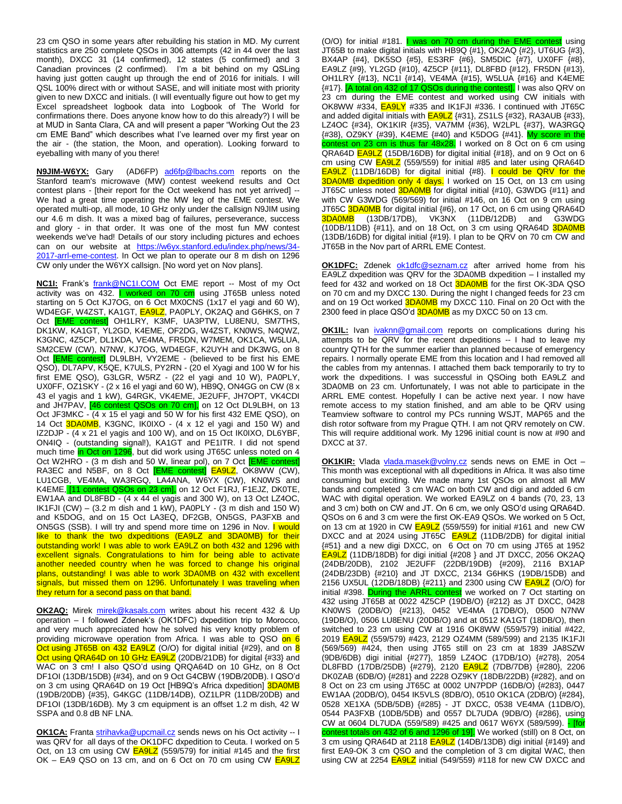23 cm QSO in some years after rebuilding his station in MD. My current statistics are 250 complete QSOs in 306 attempts (42 in 44 over the last month), DXCC 31 (14 confirmed), 12 states (5 confirmed) and 3 Canadian provinces (2 confirmed). I'm a bit behind on my QSLing having just gotten caught up through the end of 2016 for initials. I will QSL 100% direct with or without SASE, and will initiate most with priority given to new DXCC and initials. (I will eventually figure out how to get my Excel spreadsheet logbook data into Logbook of The World for confirmations there. Does anyone know how to do this already?) I will be at MUD in Santa Clara, CA and will present a paper "Working Out the 23 cm EME Band" which describes what I've learned over my first year on the air - (the station, the Moon, and operation). Looking forward to eyeballing with many of you there!

**N9JIM-W6YX:** Gary (AD6FP) [ad6fp@lbachs.com](mailto:ad6fp@lbachs.com) reports on the Stanford team's microwave (MW) contest weekend results and Oct contest plans - [their report for the Oct weekend has not yet arrived] -- We had a great time operating the MW leg of the EME contest. We operated multi-op, all mode, 10 GHz only under the callsign N9JIM using our 4.6 m dish. It was a mixed bag of failures, perseverance, success and glory - in that order. It was one of the most fun MW contest weekends we've had! Details of our story including pictures and echoes can on our website at [https://w6yx.stanford.edu/index.php/news/34-](https://w6yx.stanford.edu/index.php/news/34-2017-arrl-eme-contest) 2017-arrl-eme-contest</u>. In Oct we plan to operate our 8 m dish on 1296 CW only under the W6YX callsign. [No word yet on Nov plans].

**NC1I:** Frank's [frank@NC1I.COM](mailto:frank@NC1I.COM) Oct EME report -- Most of my Oct activity was on 432. <mark>I worked on 70 cm</mark> using JT65B unless noted starting on 5 Oct KJ7OG, on 6 Oct MX0CNS (1x17 el yagi and 60 W), WD4EGF, W4ZST, KA1GT, EA9LZ, PA0PLY, OK2AQ and G6HKS, on 7 Oct **[EME contest]** OH1LRY, K3MF, UA3PTW, LU8ENU, SM7THS, DK1KW, KA1GT, YL2GD, K4EME, OF2DG, W4ZST, KN0WS, N4QWZ, K3GNC, 4Z5CP, DL1KDA, VE4MA, FR5DN, W7MEM, OK1CA, W5LUA, SM2CEW (CW), N7NW, KJ7OG, WD4EGF, K2UYH and DK3WG, on 8 Oct **[EME contest]** DL9LBH, VY2EME - (believed to be first his EME QSO), DL7APV, K5QE, K7ULS, PY2RN - (20 el Xyagi and 100 W for his first EME QSO), G3LGR, W5RZ - (22 el yagi and 10 W), PA0PLY, UX0FF, OZ1SKY - (2 x 16 el yagi and 60 W), HB9Q, ON4GG on CW (8 x 43 el yagis and 1 kW), G4RGK, VK4EME, JE2UFF, JH7OPT, VK4CDI and JH7PAV, <mark>[46 contest QSOs on 70 cm],</mark> on 12 Oct DL9LBH, on 13 Oct JF3MKC - (4 x 15 el yagi and 50 W for his first 432 EME QSO), on 14 Oct **3DA0MB**, K3GNC, IK0IXO - (4 x 12 el yagi and 150 W) and IZ2DJP - (4 x 21 el yagis and 100 W), and on 15 Oct IK0IXO, DL6YBF, ON4IQ - (outstanding signal!), KA1GT and PE1ITR. I did not spend much time in Oct on 1296, but did work using JT65C unless noted on 4 Oct W2HRO - (3 m dish and 50 W, linear pol), on 7 Oct **[EME contest]** RA3EC and N5BF, on 8 Oct <mark>[EME contest] EA9LZ</mark>, OK8WW (CW), LU1CGB, VE4MA, WA3RGQ, LA4ANA, W6YX (CW), KN0WS and K4EME, [11 contest QSOs on 23 cm], on 12 Oct F1RJ, F1EJZ, DK0TE, EW1AA and DL8FBD - (4 x 44 el yagis and 300 W), on 13 Oct LZ4OC, IK1FJI (CW) – (3.2 m dish and 1 kW), PA0PLY - (3 m dish and 150 W) and K5DOG, and on 15 Oct LA3EQ, DF2GB, ON5GS, PA3FXB and ON5GS (SSB). I will try and spend more time on 1296 in Nov. I would like to thank the two dxpeditions (EA9LZ and 3DA0MB) for their outstanding work! I was able to work EA9LZ on both 432 and 1296 with excellent signals. Congratulations to him for being able to activate another needed country when he was forced to change his original plans, outstanding! I was able to work 3DA0MB on 432 with excellent signals, but missed them on 1296. Unfortunately I was traveling when they return for a second pass on that band.

**OK2AQ:** Mirek [mirek@kasals.com](mailto:mirek@kasals.com) writes about his recent 432 & Up operation – I followed Zdenek's (OK1DFC) dxpedition trip to Morocco, and very much appreciated how he solved his very knotty problem of providing microwave operation from Africa. I was able to QSO on 6 Oct using JT65B on 432 EA9LZ (O/O) for digital initial {#29}, and on 8 Oct using QRA64D on 10 GHz EA9LZ<sup>(20DB)</sup> 21DB) for digital {#33} and WAC on 3 cm! I also QSO'd using QRQA64D on 10 GHz, on 8 Oct DF1OI (13DB/15DB) {#34}, and on 9 Oct G4CBW (19DB/20DB). I QSO'd on 3 cm using QRA64D on 19 Oct [HB9Q's Africa dxpedition] 3DA0MB (19DB/20DB) {#35}, G4KGC (11DB/14DB), OZ1LPR (11DB/20DB) and DF1OI (13DB/16DB). My 3 cm equipment is an offset 1.2 m dish, 42 W SSPA and 0.8 dB NF LNA.

**OK1CA:** Frant[a strihavka@upcmail.cz](mailto:strihavka@upcmail.cz) sends news on his Oct activity -- I was QRV for all days of the OK1DFC dxpedition to Ceuta. I worked on 5 Oct, on 13 cm using CW **EA9LZ** (559/579) for initial #145 and the first OK – EA9 QSO on 13 cm, and on 6 Oct on 70 cm using CW **EA9LZ** 

(O/O) for initial #181. I was on 70 cm during the EME contest using JT65B to make digital initials with HB9Q {#1}, OK2AQ {#2}, UT6UG {#3}, BX4AP {#4}, DK5SO {#5}, ES3RF {#6}, SM5DIC {#7}, UX0FF {#8}, EA9LZ {#9}, YL2GD {#10}, 4Z5CP {#11}, DL8FBD {#12}, FR5DN {#13}, OH1LRY {#13}, NC1I {#14}, VE4MA {#15}, W5LUA {#16} and K4EME {#17}. [A total on 432 of 17 QSOs during the contest]. I was also QRV on 23 cm during the EME contest and worked using CW initials with OK8WW #334, **EA9LY** #335 and IK1FJI #336. I continued with JT65C and added digital initials with **EA9LZ** {#31}, ZS1LS {#32}, RA3AUB {#33}, LZ4OC {#34}, OK1KIR {#35}, VA7MM {#36}, W2LPL {#37}, WA3RGQ {#38}, OZ9KY {#39}, K4EME {#40} and K5DOG {#41}. My score in the ontest on 23 cm is thus far 48x28. I worked on 8 Oct on 6 cm using QRA64D EA9LZ (15DB/16DB) for digital initial {#18}, and on 9 Oct on 6 cm using CW **EA9LZ** (559/559) for initial #85 and later using QRA64D **EA9LZ**  $(11DB/16DB)$  for digital initial  $\{48\}$ . **I could be QRV for the** 3DA0MB dxpedition only 4 days. I worked on 15 Oct, on 13 cm using JT65C unless noted 3DA0MB for digital initial {#10}, G3WDG {#11} and with CW G3WDG (569/569) for initial #146, on 16 Oct on 9 cm using JT65C 3DA0MB for digital initial {#6}, on 17 Oct, on 6 cm using QRA64D 3DA0MB (13DB/17DB), VK3NX (11DB/12DB) and G3WDG  $(10DB/11DB)$   $(#11)$ , and on 18 Oct, on 3 cm using QRA64D 3DA0MB (13DB/16DB) for digital initial {#19}. I plan to be QRV on 70 cm CW and JT65B in the Nov part of ARRL EME Contest.

**OK1DFC:** Zdenek [ok1dfc@seznam.cz](mailto:ok1dfc@seznam.cz) after arrived home from his EA9LZ dxpedition was QRV for the 3DA0MB dxpedition – I installed my feed for 432 and worked on 18 Oct 3DA0MB for the first OK-3DA QSO on 70 cm and my DXCC 130. During the night I changed feeds for 23 cm and on 19 Oct worked **3DA0MB** my DXCC 110. Final on 20 Oct with the 2300 feed in place QSO'd 3DA0MB as my DXCC 50 on 13 cm.

**OK1IL:** Ivan *[ivaknn@gmail.com](mailto:ivaknn@gmail.com)* reports on complications during his attempts to be QRV for the recent dxpeditions -- I had to leave my country QTH for the summer earlier than planned because of emergency repairs. I normally operate EME from this location and I had removed all the cables from my antennas. I attached them back temporarily to try to work the dxpeditions. I was successful in QSOing both EA9LZ and 3DA0MB on 23 cm. Unfortunately, I was not able to participate in the ARRL EME contest. Hopefully I can be active next year. I now have remote access to my station finished, and am able to be QRV using Teamview software to control my PCs running WSJT, MAP65 and the dish rotor software from my Prague QTH. I am not QRV remotely on CW. This will require additional work. My 1296 initial count is now at #90 and DXCC at 37.

**OK1KIR:** Vlada *vlada.masek@volny.cz* sends news on EME in Oct -This month was exceptional with all dxpeditions in Africa. It was also time consuming but exciting. We made many 1st QSOs on almost all MW bands and completed 3 cm WAC on both CW and digi and added 6 cm WAC with digital operation. We worked EA9LZ on 4 bands (70, 23, 13 and 3 cm) both on CW and JT. On 6 cm, we only QSO'd using QRA64D. QSOs on 6 and 3 cm were the first OK-EA9 QSOs. We worked on 5 Oct, on 13 cm at 1920 in CW **EA9LZ** (559/559) for initial #161 and new CW DXCC and at 2024 using JT65C **EA9LZ** (11DB/2DB) for digital initial {#51} and a new digi DXCC, on 6 Oct on 70 cm using JT65 at 1952 **EA9LZ** (11DB/18DB) for digi initial  $\{4208\}$  and JT DXCC, 2056 OK2AQ (24DB/20DB), 2102 JE2UFF (22DB/19DB) {#209}, 2116 BX1AP (24DB/23DB) {#210} and JT DXCC, 2134 G6HKS (19DB/15DB) and 2156 UX5UL (12DB/18DB) {#211} and 2300 using CW **EA9LZ** (O/O) for initial #398. During the ARRL contest we worked on 7 Oct starting on 432 using JT65B at 0022 4Z5CP (19DB/O) {#212} as JT DXCC, 0428 KN0WS (20DB/O) {#213}, 0452 VE4MA (17DB/O), 0500 N7NW (19DB/O), 0506 LU8ENU (20DB/O) and at 0512 KA1GT (18DB/O), then switched to 23 cm using CW at 1916 OK8WW (559/579) initial #422, 2019 **EA9LZ** (559/579) #423, 2129 OZ4MM (589/599) and 2135 IK1FJI (569/569) #424, then using JT65 still on 23 cm at 1839 JA8SZW (9DB/6DB) digi initial {#277}, 1859 LZ4OC (17DB/1O) {#278}, 2054 DL8FBD (17DB/25DB) {#279}, 2120 **EA9LZ** (7DB/7DB) {#280}, 2206 DK0ZAB (6DB/O) {#281} and 2228 OZ9KY (18DB/22DB) {#282}, and on 8 Oct on 23 cm using JT65C at 0002 UN7PDP (16DB/O) {#283}, 0447 EW1AA (20DB/O), 0454 IK5VLS (8DB/O), 0510 OK1CA (2DB/O) {#284}, 0528 XE1XA (5DB/5DB) {#285} - JT DXCC, 0538 VE4MA (11DB/O), 0544 PA3FXB (10DB/5DB) and 0557 DL7UDA (9DB/O) {#286}, using CW at 0604 DL7UDA (559/589) #425 and 0617 W6YX (589/599). - [for ontest totals on 432 of 6 and 1296 of 19]. We worked (still) on 8 Oct, on 3 cm using QRA64D at 2118 **EA9LZ** (14DB/13DB) digi initial {#149} and first EA9-OK 3 cm QSO and the completion of 3 cm digital WAC, then using CW at 2254 **EA9LZ** initial (549/559) #118 for new CW DXCC and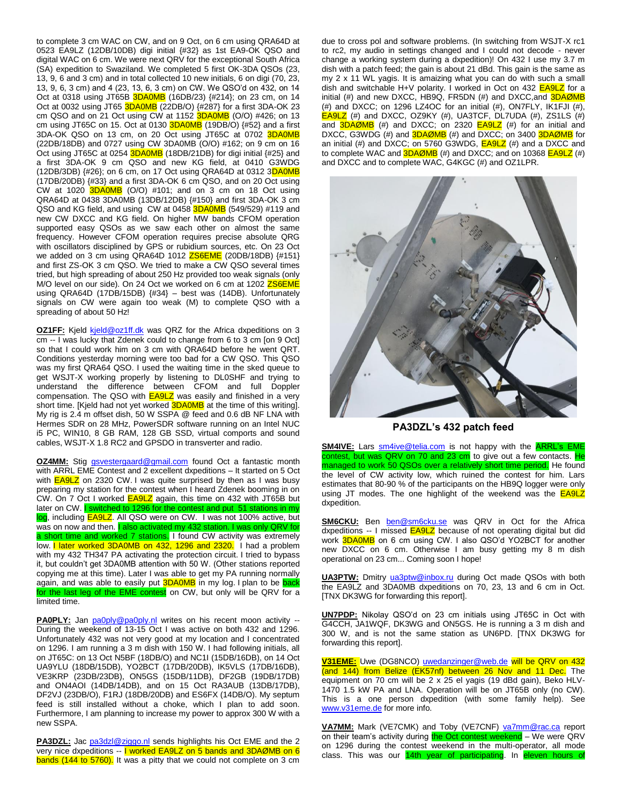to complete 3 cm WAC on CW, and on 9 Oct, on 6 cm using QRA64D at 0523 EA9LZ (12DB/10DB) digi initial {#32} as 1st EA9-OK QSO and digital WAC on 6 cm. We were next QRV for the exceptional South Africa (SA) expedition to Swaziland. We completed 5 first OK-3DA QSOs (23, 13, 9, 6 and 3 cm) and in total collected 10 new initials, 6 on digi (70, 23, 13, 9, 6, 3 cm) and 4 (23, 13, 6, 3 cm) on CW. We QSO'd on 432, on 14 Oct at 0318 using JT65B 3DA0MB (16DB/23) {#214}; on 23 cm, on 14 Oct at 0032 using JT65 3DA0MB (22DB/O) {#287} for a first 3DA-OK 23 cm QSO and on 21 Oct using CW at  $1152$   $3D A<sub>0</sub>MB$  (O/O) #426; on 13 cm using JT65C on 15. Oct at 0130  $3D A OMB$  (19DB/O)  $\{#52\}$  and a first 3DA-OK QSO on 13 cm, on 20 Oct using JT65C at 0702 3DA0MB (22DB/18DB) and 0727 using CW 3DA0MB (O/O) #162; on 9 cm on 16 Oct using JT65C at 0254 3DA0MB (18DB/21DB) for digi initial {#25} and a first 3DA-OK 9 cm QSO and new KG field, at 0410 G3WDG (12DB/3DB) {#26}; on 6 cm, on 17 Oct using QRA64D at 0312 3DA0MB (17DB/20DB) {#33} and a first 3DA-OK 6 cm QSO, and on 20 Oct using CW at 1020  $3DAOMB$  (O/O) #101; and on 3 cm on 18 Oct using QRA64D at 0438 3DA0MB (13DB/12DB) {#150} and first 3DA-OK 3 cm QSO and KG field, and using CW at 0458 3DA0MB (549/529) #119 and new CW DXCC and KG field. On higher MW bands CFOM operation supported easy QSOs as we saw each other on almost the same frequency. However CFOM operation requires precise absolute QRG with oscillators disciplined by GPS or rubidium sources, etc. On 23 Oct we added on 3 cm using QRA64D 1012 **ZS6EME** (20DB/18DB) {#151} and first ZS-OK 3 cm QSO. We tried to make a CW QSO several times tried, but high spreading of about 250 Hz provided too weak signals (only M/O level on our side). On 24 Oct we worked on 6 cm at 1202 ZS6EME using QRA64D (17DB/15DB) {#34} – best was (14DB). Unfortunately signals on CW were again too weak (M) to complete QSO with a spreading of about 50 Hz!

**OZ1FF:** Kjeld [kjeld@oz1ff.dk](mailto:kjeld@oz1ff.dk) was QRZ for the Africa dxpeditions on 3 cm -- I was lucky that Zdenek could to change from 6 to 3 cm [on 9 Oct] so that I could work him on 3 cm with QRA64D before he went QRT. Conditions yesterday morning were too bad for a CW QSO. This QSO was my first QRA64 QSO. I used the waiting time in the sked queue to get WSJT-X working properly by listening to DL0SHF and trying to understand the difference between CFOM and full Doppler compensation. The QSO with **EA9LZ** was easily and finished in a very short time. [Kjeld had not yet worked **3DA0MB** at the time of this writing]. My rig is 2.4 m offset dish, 50 W SSPA @ feed and 0.6 dB NF LNA with Hermes SDR on 28 MHz, PowerSDR software running on an Intel NUC i5 PC, WIN10, 8 GB RAM, 128 GB SSD, virtual comports and sound cables, WSJT-X 1.8 RC2 and GPSDO in transverter and radio.

**OZ4MM:** Stig [gsvestergaard@gmail.com](mailto:gsvestergaard@gmail.com) found Oct a fantastic month with ARRL EME Contest and 2 excellent dxpeditions – It started on 5 Oct with **EA9LZ** on 2320 CW. I was quite surprised by then as I was busy preparing my station for the contest when I heard Zdenek booming in on CW. On 7 Oct I worked **EA9LZ** again, this time on 432 with JT65B but later on CW. I switched to 1296 for the contest and put 51 stations in my log, including **EA9LZ**. All QSO were on CW. I was not 100% active, but was on now and then. **I also activated my 432 station. I was only QRV for** a short time and worked 7 stations. I found CW activity was extremely low. I later worked 3DA0MB on 432, 1296 and 2320. I had a problem with my 432 TH347 PA activating the protection circuit. I tried to bypass it, but couldn't get 3DA0MB attention with 50 W. (Other stations reported copying me at this time). Later I was able to get my PA running normally again, and was able to easily put **3DA0MB** in my log. I plan to be **back** for the last leg of the EME contest on CW, but only will be QRV for a limited time.

PA0PLY: Jan [pa0ply@pa0ply.nl](mailto:pa0ply@pa0ply.nl) writes on his recent moon activity --During the weekend of 13-15 Oct I was active on both 432 and 1296. Unfortunately 432 was not very good at my location and I concentrated on 1296. I am running a 3 m dish with 150 W. I had following initials, all on JT65C: on 13 Oct N5BF (18DB/O) and NC1I (15DB/16DB), on 14 Oct UA9YLU (18DB/15DB), YO2BCT (17DB/20DB), IK5VLS (17DB/16DB), VE3KRP (23DB/23DB), ON5GS (15DB/11DB), DF2GB (19DB/17DB) and ON4AOI (14DB/14DB), and on 15 Oct RA3AUB (13DB/17DB), DF2VJ (23DB/O), F1RJ (18DB/20DB) and ES6FX (14DB/O). My septum feed is still installed without a choke, which I plan to add soon. Furthermore, I am planning to increase my power to approx 300 W with a new SSPA.

**PA3DZL:** Jac [pa3dzl@ziggo.nl](mailto:pa3dzl@ziggo.nl) sends highlights his Oct EME and the 2 very nice dxpeditions -- I worked EA9LZ on 5 bands and 3DAØMB on 6 bands (144 to 5760). It was a pitty that we could not complete on 3 cm due to cross pol and software problems. (In switching from WSJT-X rc1 to rc2, my audio in settings changed and I could not decode - never change a working system during a dxpedition)! On 432 I use my 3.7 m dish with a patch feed; the gain is about 21 dBd. This gain is the same as my 2 x 11 WL yagis. It is amaizing what you can do with such a small dish and switchable H+V polarity. I worked in Oct on 432 **EA9LZ** for a initial (#) and new DXCC, HB9Q, FR5DN (#) and DXCC, and 3DAØMB (#) and DXCC; on 1296 LZ4OC for an initial (#), ON7FLY, IK1FJI (#), EA9LZ (#) and DXCC, OZ9KY (#), UA3TCF, DL7UDA (#), ZS1LS (#) and  $3DAGMB$  (#) and DXCC; on 2320  $EASLZ$  (#) for an initial and DXCC, G3WDG (#) and **3DAØMB** (#) and DXCC; on 3400 3DAØMB for an initial (#) and DXCC; on 5760 G3WDG, EA9LZ (#) and a DXCC and to complete WAC and **3DAØMB** (#) and DXCC; and on 10368 **EA9LZ** (#) and DXCC and to complete WAC, G4KGC (#) and OZ1LPR.



**PA3DZL's 432 patch feed**

**SM4IVE:** Lars **sm4ive@telia.com** is not happy with the **ARRL's EME** contest, but was QRV on 70 and 23 cm to give out a few contacts. He managed to work 50 QSOs over a relatively short time period. He found the level of CW activity low, which ruined the contest for him. Lars estimates that 80-90 % of the participants on the HB9Q logger were only using JT modes. The one highlight of the weekend was the **EA9L** dxpedition.

**SM6CKU:** Ben [ben@sm6cku.se](mailto:ben@sm6cku.se) was QRV in Oct for the Africa dxpeditions -- I missed **EA9LZ** because of not operating digital but did work **3DA0MB** on 6 cm using CW. I also QSO'd YO2BCT for another new DXCC on 6 cm. Otherwise I am busy getting my 8 m dish operational on 23 cm... Coming soon I hope!

**UA3PTW:** Dmitry [ua3ptw@inbox.ru](mailto:ua3ptw@inbox.ru) during Oct made QSOs with both the EA9LZ and 3DA0MB dxpeditions on 70, 23, 13 and 6 cm in Oct. [TNX DK3WG for forwarding this report].

**UN7PDP:** Nikolay QSO'd on 23 cm initials using JT65C in Oct with G4CCH, JA1WQF, DK3WG and ON5GS. He is running a 3 m dish and 300 W, and is not the same station as UN6PD. [TNX DK3WG for forwarding this report].

**V31EME:** Uwe (DG8NCO) [uwedanzinger@web.de](mailto:uwedanzinger@web.de) will be QRV on 432 (and 144) from Belize (EK57nf) between 26 Nov and 11 Dec. The equipment on 70 cm will be 2 x 25 el yagis (19 dBd gain), Beko HLV-1470 1.5 kW PA and LNA. Operation will be on JT65B only (no CW). This is a one person dxpedition (with some family help). See [www.v31eme.de](http://www.v31eme.de/) for more info.

VA7MM: Mark (VE7CMK) and Toby (VE7CNF) [va7mm@rac.ca](mailto:va7mm@rac.ca) report on their team's activity during the Oct contest weekend - We were QRV on 1296 during the contest weekend in the multi-operator, all mode class. This was our 14th year of participating. In eleven hours of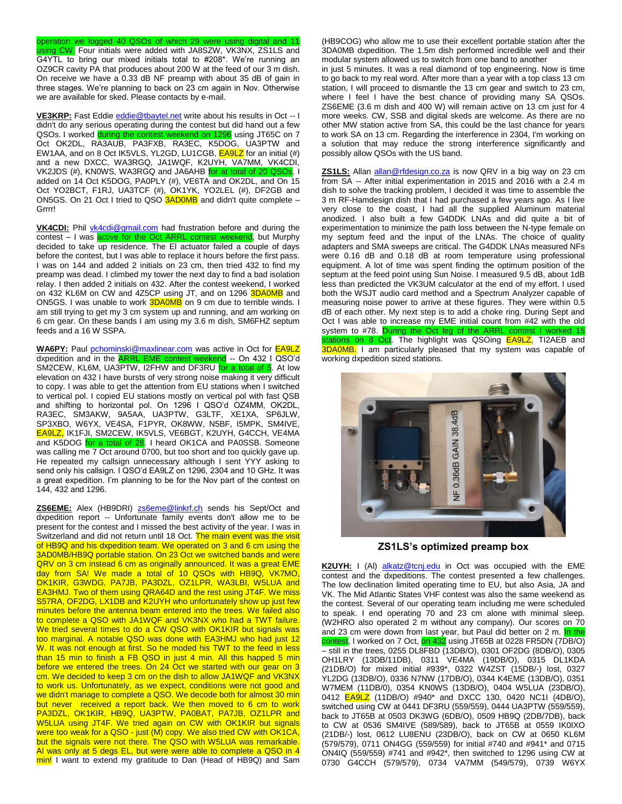operation we logged 40 QSOs of which 29 were using digital and 11 using CW. Four initials were added with JA8SZW, VK3NX, ZS1LS and G4YTL to bring our mixed initials total to #208\*. We're running an OZ9CR cavity PA that produces about 200 W at the feed of our 3 m dish. On receive we have a 0.33 dB NF preamp with about 35 dB of gain in three stages. We're planning to back on 23 cm again in Nov. Otherwise we are available for sked. Please contacts by e-mail.

VE3KRP: Fast Eddie [eddie@tbaytel.net](mailto:eddie@tbaytel.net) write about his results in Oct -- I didn't do any serious operating during the contest but did hand out a few QSOs. I worked during the contest weekend on 1296 using JT65C on 7 Oct OK2DL, RA3AUB, PA3FXB, RA3EC, K5DOG, UA3PTW and EW1AA, and on 8 Oct IK5VLS, YL2GD, LU1CGB, EA9LZ for an initial (#) and a new DXCC, WA3RGQ, JA1WQF, K2UYH, VA7MM, VK4CDI, VK2JDS (#), KN0WS, WA3RGQ and JA6AHB for at total of 20 QSOs. I added on 14 Oct K5DOG, PA0PLY (#), VE6TA and OK2DL, and On 15 Oct YO2BCT, F1RJ, UA3TCF (#), OK1YK, YO2LEL (#), DF2GB and ON5GS. On 21 Oct I tried to QSO 3AD0MB and didn't quite complete – Grrrr!

**VK4CDI:** Phil [vk4cdi@gmail.com](mailto:vk4cdi@gmail.com) had frustration before and during the contest – I was active for the Oct ARRL contest weekend, but Murphy decided to take up residence. The El actuator failed a couple of days before the contest, but I was able to replace it hours before the first pass. I was on 144 and added 2 initials on 23 cm, then tried 432 to find my preamp was dead. I climbed my tower the next day to find a bad isolation relay. I then added 2 initials on 432. After the contest weekend, I worked on 432 KL6M on CW and 4Z5CP using JT, and on 1296 3DA0MB and ON5GS. I was unable to work **3DA0MB** on 9 cm due to terrible winds. I am still trying to get my 3 cm system up and running, and am working on 6 cm gear. On these bands I am using my 3.6 m dish, SM6FHZ septum feeds and a 16 W SSPA.

**WA6PY:** Paul [pchominski@maxlinear.com](mailto:pchominski@maxlinear.com) was active in Oct for EA9LZ dxpedition and in the *ARRL EME contest weekend* -- On 432 I QSO'd SM2CEW, KL6M, UA3PTW, I2FHW and DF3RU for a total of 5. At low elevation on 432 I have bursts of very strong noise making it very difficult to copy. I was able to get the attention from EU stations when I switched to vertical pol. I copied EU stations mostly on vertical pol with fast QSB and shifting to horizontal pol. On 1296 I QSO'd OZ4MM, OK2DL, RA3EC, SM3AKW, 9A5AA, UA3PTW, G3LTF, XE1XA, SP6JLW, SP3XBO, W6YX, VE4SA, F1PYR, OK8WW, N5BF, I5MPK, SM4IVE, EA9LZ, IK1FJI, SM2CEW, IK5VLS, VE6BGT, K2UYH, G4CCH, VE4MA and K5DOG for a total of 26. I heard OK1CA and PA0SSB. Someone was calling me 7 Oct around 0700, but too short and too quickly gave up. He repeated my callsign unnecessary although I sent YYY asking to send only his callsign. I QSO'd EA9LZ on 1296, 2304 and 10 GHz. It was a great expedition. I'm planning to be for the Nov part of the contest on 144, 432 and 1296.

**ZS6EME:** Alex (HB9DRI) [zs6eme@linkrf.ch](mailto:zs6eme@linkrf.ch) sends his Sept/Oct and dxpedition report -- Unfortunate family events don't allow me to be present for the contest and I missed the best activity of the year. I was in Switzerland and did not return until 18 Oct. The main event was the visit of HB9Q and his dxpedition team. We operated on 3 and 6 cm using the 3AD0MB/HB9Q portable station. On 23 Oct we switched bands and were QRV on 3 cm instead 6 cm as originally announced. It was a great EME day from SA! We made a total of 10 QSOs with HB9Q, VK7MO, OK1KIR, G3WDG, PA7JB, PA3DZL, OZ1LPR, WA3LBI, W5LUA and EA3HMJ. Two of them using QRA64D and the rest using JT4F. We miss S57RA, OF2DG, LX1DB and K2UYH who unfortunately show up just few minutes before the antenna beam entered into the trees. We failed also to complete a QSO with JA1WQF and VK3NX who had a TWT failure. We tried several times to do a CW QSO with OK1KIR but signals was too marginal. A notable QSO was done with EA3HMJ who had just 12 W. It was not enough at first. So he moded his TWT to the feed in less than 15 min to finish a FB QSO in just 4 min. All this happed 5 min before we entered the trees. On 24 Oct we started with our gear on 3 cm. We decided to keep 3 cm on the dish to allow JA1WQF and VK3NX to work us. Unfortunately, as we expect, conditions were not good and we didn't manage to complete a QSO. We decode both for almost 30 min but never received a report back. We then moved to 6 cm to work PA3DZL, OK1KIR, HB9Q, UA3PTW, PA0BAT, PA7JB, OZ1LPR and W5LUA using JT4F. We tried again on CW with OK1KIR but signals were too weak for a QSO - just (M) copy. We also tried CW with OK1CA, but the signals were not there. The QSO with W5LUA was remarkable. Al was only at 5 degs EL, but were were able to complete a QSO in 4 min! I want to extend my gratitude to Dan (Head of HB9Q) and Sam (HB9COG) who allow me to use their excellent portable station after the 3DA0MB dxpedition. The 1.5m dish performed incredible well and their modular system allowed us to switch from one band to another

in just 5 minutes. It was a real diamond of top engineering. Now is time to go back to my real word. After more than a year with a top class 13 cm station, I will proceed to dismantle the 13 cm gear and switch to 23 cm, where I feel I have the best chance of providing many SA QSOs. ZS6EME (3.6 m dish and 400 W) will remain active on 13 cm just for 4 more weeks. CW, SSB and digital skeds are welcome. As there are no other MW station active from SA, this could be the last chance for years to work SA on 13 cm. Regarding the interference in 2304, I'm working on a solution that may reduce the strong interference significantly and possibly allow QSOs with the US band.

**ZS1LS:** Allan [allan@rfdesign.co.za](mailto:allan@rfdesign.co.za) is now QRV in a big way on 23 cm from SA -- After initial experimentation in 2015 and 2016 with a 2.4 m dish to solve the tracking problem, I decided it was time to assemble the 3 m RF-Hamdesign dish that I had purchased a few years ago. As I live very close to the coast, I had all the supplied Aluminum material anodized. I also built a few G4DDK LNAs and did quite a bit of experimentation to minimize the path loss between the N-type female on my septum feed and the input of the LNAs. The choice of quality adapters and SMA sweeps are critical. The G4DDK LNAs measured NFs were 0.16 dB and 0.18 dB at room temperature using professional equipment. A lot of time was spent finding the optimum position of the septum at the feed point using Sun Noise. I measured 9.5 dB, about 1dB less than predicted the VK3UM calculator at the end of my effort. I used both the WSJT audio card method and a Spectrum Analyzer capable of measuring noise power to arrive at these figures. They were within 0.5 dB of each other. My next step is to add a choke ring. During Sept and Oct I was able to increase my EME initial count from #42 with the old system to #78. During the Oct leg of the ARRL contest I worked 15 tations on 8 Oct. The highlight was QSOing **EA9LZ**, TI2AEB and **3DA0MB.** I am particularly pleased that my system was capable of working dxpedition sized stations.



**ZS1LS's optimized preamp box**

**K2UYH:** I (Al) [alkatz@tcnj.edu](mailto:alkatz@tcnj.edu) in Oct was occupied with the EME contest and the dxpeditions. The contest presented a few challenges. The low declination limited operating time to EU, but also Asia, JA and VK. The Mid Atlantic States VHF contest was also the same weekend as the contest. Several of our operating team including me were scheduled to speak. I end operating 70 and 23 cm alone with minimal sleep. (W2HRO also operated 2 m without any company). Our scores on 70 and 23 cm were down from last year, but Paul did better on 2 m. In the contest, I worked on 7 Oct, on 432 using JT65B at 0228 FR5DN (7DB/O) – still in the trees, 0255 DL8FBD (13DB/O), 0301 OF2DG (8DB/O), 0305 OH1LRY (13DB/11DB), 0311 VE4MA (19DB/O), 0315 DL1KDA (21DB/O) for mixed initial #939\*, 0322 W4ZST (15DB/-) lost, 0327 YL2DG (13DB/O), 0336 N7NW (17DB/O), 0344 K4EME (13DB/O), 0351 W7MEM (11DB/0), 0354 KN0WS (13DB/O), 0404 W5LUA (23DB/O), 0412  $E \overline{A9 LZ}$  (11DB/O) #940\* and DXCC 130, 0420 NC11 (4DB/O), switched using CW at 0441 DF3RU (559/559), 0444 UA3PTW (559/559), back to JT65B at 0503 DK3WG (6DB/O), 0509 HB9Q (2DB/7DB), back to CW at 0536 SM4IVE (589/589), back to JT65B at 0559 IK0IXO (21DB/-) lost, 0612 LU8ENU (23DB/O), back on CW at 0650 KL6M (579/579), 0711 ON4GG (559/559) for initial #740 and #941\* and 0715 ON4IQ (559/559) #741 and #942\*, then switched to 1296 using CW at 0730 G4CCH (579/579), 0734 VA7MM (549/579), 0739 W6YX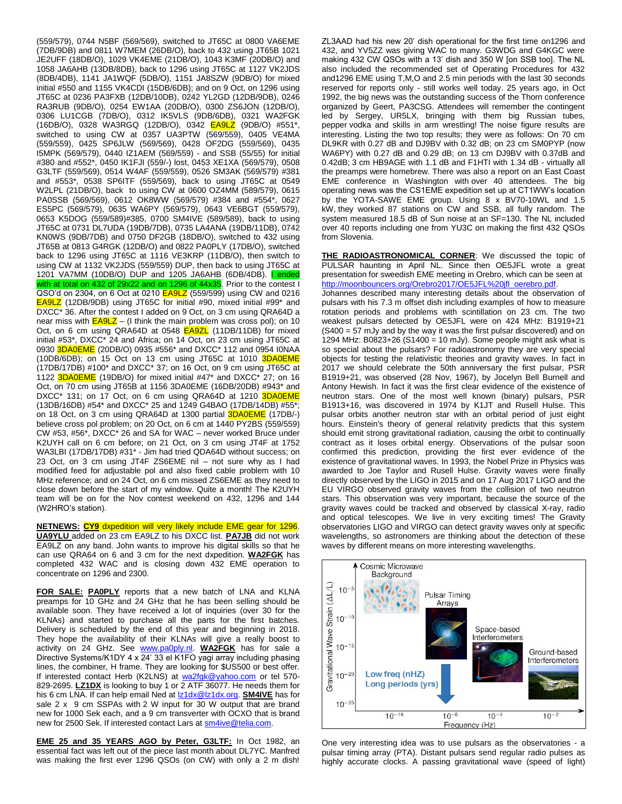(559/579), 0744 N5BF (569/569), switched to JT65C at 0800 VA6EME (7DB/9DB) and 0811 W7MEM (26DB/O), back to 432 using JT65B 1021 JE2UFF (18DB/O), 1029 VK4EME (21DB/O), 1043 K3MF (20DB/O) and 1058 JA6AHB (13DB/8DB), back to 1296 using JT65C at 1127 VK2JDS (8DB/4DB), 1141 JA1WQF (5DB/O), 1151 JA8SZW (9DB/O) for mixed initial #550 and 1155 VK4CDI (15DB/6DB); and on 9 Oct, on 1296 using JT65C at 0236 PA3FXB (12DB/10DB), 0242 YL2GD (12DB/9DB), 0246 RA3RUB (9DB/O), 0254 EW1AA (20DB/O), 0300 ZS6JON (12DB/O), 0306 LU1CGB (7DB/O), 0312 IK5VLS (9DB/6DB), 0321 WA2FGK (16DB/O), 0328 WA3RGQ (12DB/O), 0342 EA9LZ (9DB/O) #551\*, switched to using CW at 0357 UA3PTW (569/559), 0405 VE4MA (559/559), 0425 SP6JLW (569/569), 0428 OF2DG (559/569), 0435 I5MPK (569/579), 0440 IZ1AEM (569/559) - and SSB (55/55) for initial #380 and #552\*, 0450 IK1FJI (559/-) lost, 0453 XE1XA (569/579), 0508 G3LTF (559/569), 0514 W4AF (559/559), 0526 SM3AK (569/579) #381 and #553\*, 0538 SP6ITF (559/569), back to using JT65C at 0549 W2LPL (21DB/O), back to using CW at 0600 OZ4MM (589/579), 0615 PA0SSB (569/569), 0612 OK8WW (569/579) #384 and #554\*, 0627 ES5PC (569/579), 0635 WA6PY (569/579), 0643 VE6BGT (559/579), 0653 K5DOG (559/589)#385, 0700 SM4IVE (589/589), back to using JT65C at 0731 DL7UDA (19DB/7DB), 0735 LA4ANA (19DB/11DB), 0742 KN0WS (9DB/7DB) and 0750 DF2GB (18DB/O), switched to 432 using JT65B at 0813 G4RGK (12DB/O) and 0822 PA0PLY (17DB/O), switched back to 1296 using JT65C at 1116 VE3KRP (11DB/O), then switch to using CW at 1132 VK2JDS (559/559) DUP, then back to using JT65C at 1201 VA7MM (10DB/O) DUP and 1205 JA6AHB (6DB/4DB). I ended with at total on 432 of 29x22 and on 1296 of 44x35. Prior to the contest I QSO'd on 2304, on 6 Oct at 0210 <mark>EA9LZ</mark> (559/599) using CW and 0216 EA9LZ (12DB/9DB) using JT65C for initial #90, mixed initial #99\* and DXCC\* 36. After the contest I added on 9 Oct, on 3 cm using QRA64D a near miss with  $EAGLZ - (I)$  think the main problem was cross pol); on 10 Oct, on 6 cm using QRA64D at 0548 **EA9ZL** (11DB/11DB) for mixed initial #53\*, DXCC\* 24 and Africa; on 14 Oct, on 23 cm using JT65C at 0930 3DA0EME (20DB/O) 0935 #556\* and DXCC\* 112 and 0954 I0NAA (10DB/6DB); on 15 Oct on 13 cm using JT65C at 1010  $3DAOEME$ (17DB/17DB) #100\* and DXCC\* 37; on 16 Oct, on 9 cm using JT65C at 1122 **3DA0EME** (19DB/O) for mixed initial #47<sup>\*</sup> and DXCC<sup>\*</sup> 27; on 16 Oct, on 70 cm using JT65B at 1156 3DA0EME (16DB/20DB) #943\* and DXCC\* 131; on 17 Oct, on 6 cm using QRA64D at 1210 3DA0EME (13DB/16DB) #54\* and DXCC\* 25 and 1249 G4BAO (17DB/14DB) #55\*; on 18 Oct, on 3 cm using QRA64D at 1300 partial **3DA0EME** (17DB/-) believe cross pol problem; on 20 Oct, on 6 cm at 1440 PY2BS (559/559) CW #53, #56\*, DXCC\* 26 and SA for WAC – never worked Bruce under K2UYH call on 6 cm before; on 21 Oct, on 3 cm using JT4F at 1752 WA3LBI (17DB/17DB) #31\* - Jim had tried QDA64D without success; on 23 Oct, on 3 cm using JT4F ZS6EME nil – not sure why as I had modified feed for adjustable pol and also fixed cable problem with 10 MHz reference; and on 24 Oct, on 6 cm missed ZS6EME as they need to close down before the start of my window. Quite a month! The K2UYH team will be on for the Nov contest weekend on 432, 1296 and 144 (W2HRO's station).

**NETNEWS: CY9** dxpedition will very likely include EME gear for 1296. **UA9YLU** added on 23 cm EA9LZ to his DXCC list. **PA7JB** did not work EA9LZ on any band. John wants to improve his digital skills so that he can use QRA64 on 6 and 3 cm for the next dxpedition. **WA2FGK** has completed 432 WAC and is closing down 432 EME operation to concentrate on 1296 and 2300.

**FOR SALE: PA0PLY** reports that a new batch of LNA and KLNA preamps for 10 GHz and 24 GHz that he has been selling should be available soon. They have received a lot of inquiries (over 30 for the KLNAs) and started to purchase all the parts for the first batches. Delivery is scheduled by the end of this year and beginning in 2018. They hope the availability of their KLNAs will give a really boost to activity on 24 GHz. See [www.pa0ply.nl.](http://www.pa0ply.nl/) **WA2FGK** has for sale a Directive Systems/K1DY 4 x 24' 33 el K1FO yagi array including phasing lines, the combiner, H frame. They are looking for \$US500 or best offer. If interested contact Herb (K2LNS) at [wa2fgk@yahoo.com](mailto:wa2fgk@yahoo.com) or tel 570-829-2695. **LZ1DX** is looking to buy 1 or 2 ATF 36077. He needs them for his 6 cm LNA. If can help email Ned at [lz1dx@lz1dx.org.](mailto:lz1dx@lz1dx.org) **SM4IVE** has for sale 2 x 9 cm SSPAs with 2 W input for 30 W output that are brand new for 1000 Sek each, and a 9 cm transverter with OCXO that is brand new for 2500 Sek. If interested contact Lars a[t sm4ive@telia.com.](mailto:sm4ive@telia.com)

**EME 25 and 35 YEARS AGO by Peter, G3LTF:** In Oct 1982, an essential fact was left out of the piece last month about DL7YC. Manfred was making the first ever 1296 QSOs (on CW) with only a 2 m dish!

ZL3AAD had his new 20' dish operational for the first time on1296 and 432, and YV5ZZ was giving WAC to many. G3WDG and G4KGC were making 432 CW QSOs with a 13' dish and 350 W [on SSB too]. The NL also included the recommended set of Operating Procedures for 432 and1296 EME using T,M,O and 2.5 min periods with the last 30 seconds reserved for reports only - still works well today. 25 years ago, in Oct 1992, the big news was the outstanding success of the Thorn conference organized by Geert, PA3CSG. Attendees will remember the contingent led by Sergey, UR5LX, bringing with them big Russian tubes, pepper vodka and skills in arm wrestling! The noise figure results are interesting. Listing the two top results; they were as follows: On 70 cm DL9KR with 0.27 dB and DJ9BV with 0.32 dB; on 23 cm SM0PYP (now WA6PY) with 0.27 dB and 0.29 dB; on 13 cm DJ9BV with 0.37dB and 0.42dB; 3 cm HB9AGE with 1.1 dB and F1HTI with 1.34 dB - virtually all the preamps were homebrew. There was also a report on an East Coast EME conference in Washington with over 40 attendees. The big operating news was the CS1EME expedition set up at CT1WW's location by the YOTA-SAWE EME group. Using 8 x BV70-10WL and 1.5 kW, they worked 87 stations on CW and SSB, all fully random. The system measured 18.5 dB of Sun noise at an SF=130. The NL included over 40 reports including one from YU3C on making the first 432 QSOs from Slovenia.

**THE RADIOASTRONOMICAL CORNER**: We discussed the topic of PULSAR haunting in April NL. Since then OE5JFL wrote a great presentation for sweedish EME meeting in Orebro, which can be seen at [http://moonbouncers.org/Orebro2017/OE5JFL%20jfl\\_oerebro.pdf.](http://moonbouncers.org/Orebro2017/OE5JFL%20jfl_oerebro.pdf) Johannes described many interesting details about the observation of pulsars with his 7.3 m offset dish including examples of how to measure rotation periods and problems with scintillation on 23 cm. The two weakest pulsars detected by OE5JFL were on 424 MHz: B1919+21 (S400 = 57 mJy and by the way it was the first pulsar discovered) and on 1294 MHz: B0823+26 (S1400 = 10 mJy). Some people might ask what is so special about the pulsars? For radioastronomy they are very special objects for testing the relativistic theories and gravity waves. In fact in 2017 we should celebrate the 50th anniversary the first pulsar, PSR B1919+21, was observed (28 Nov, 1967), by Jocelyn Bell Burnell and Antony Hewish. In fact it was the first clear evidence of the existence of neutron stars. One of the most well known (binary) pulsars, PSR B1913+16, was discovered in 1974 by K1JT and Rusell Hulse. This pulsar orbits another neutron star with an orbital period of just eight hours. Einstein's theory of general relativity predicts that this system should emit strong gravitational radiation, causing the orbit to continually contract as it loses orbital energy. Observations of the pulsar soon confirmed this prediction, providing the first ever evidence of the existence of gravitational waves. In 1993, the Nobel Prize in Physics was awarded to Joe Taylor and Rusell Hulse. Gravity waves were finally directly observed by the LIGO in 2015 and on 17 Aug 2017 LIGO and the EU VIRGO observed gravity waves from the collision of two neutron stars. This observation was very important, because the source of the gravity waves could be tracked and observed by classical X-ray, radio and optical telescopes. We live in very exciting times! The Gravity observatories LIGO and VIRGO can detect gravity waves only at specific wavelengths, so astronomers are thinking about the detection of these waves by different means on more interesting wavelengths.



One very interesting idea was to use pulsars as the observatories - a pulsar timing array (PTA). Distant pulsars send regular radio pulses as highly accurate clocks. A passing gravitational wave (speed of light)